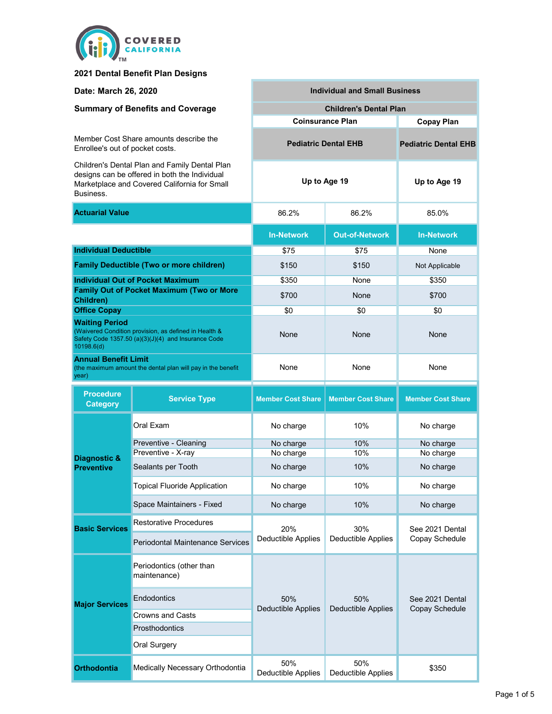

### **2021 Dental Benefit Plan Designs**

| Date: March 26, 2020                                                                                                                                        |                                                  | <b>Individual and Small Business</b> |                             |                                   |  |  |
|-------------------------------------------------------------------------------------------------------------------------------------------------------------|--------------------------------------------------|--------------------------------------|-----------------------------|-----------------------------------|--|--|
| <b>Summary of Benefits and Coverage</b>                                                                                                                     |                                                  | <b>Children's Dental Plan</b>        |                             |                                   |  |  |
|                                                                                                                                                             |                                                  | <b>Coinsurance Plan</b>              | <b>Copay Plan</b>           |                                   |  |  |
| Member Cost Share amounts describe the<br>Enrollee's out of pocket costs.                                                                                   |                                                  | <b>Pediatric Dental EHB</b>          | <b>Pediatric Dental EHB</b> |                                   |  |  |
| Children's Dental Plan and Family Dental Plan<br>designs can be offered in both the Individual<br>Marketplace and Covered California for Small<br>Business. |                                                  | Up to Age 19                         | Up to Age 19                |                                   |  |  |
| <b>Actuarial Value</b>                                                                                                                                      |                                                  | 86.2%                                | 86.2%                       | 85.0%                             |  |  |
|                                                                                                                                                             |                                                  | <b>In-Network</b>                    | <b>Out-of-Network</b>       | <b>In-Network</b>                 |  |  |
| <b>Individual Deductible</b>                                                                                                                                |                                                  | \$75                                 | \$75                        | None                              |  |  |
|                                                                                                                                                             | <b>Family Deductible (Two or more children)</b>  | \$150                                | \$150                       | Not Applicable                    |  |  |
|                                                                                                                                                             | <b>Individual Out of Pocket Maximum</b>          | \$350                                | None                        | \$350                             |  |  |
| Children)                                                                                                                                                   | <b>Family Out of Pocket Maximum (Two or More</b> | \$700                                | None                        | \$700                             |  |  |
| <b>Office Copay</b>                                                                                                                                         |                                                  | \$0                                  | \$0                         | \$0                               |  |  |
| <b>Waiting Period</b><br>(Waivered Condition provision, as defined in Health &<br>Safety Code 1357.50 (a)(3)(J)(4) and Insurance Code<br>10198.6(d)         |                                                  | None                                 | None                        | None                              |  |  |
| <b>Annual Benefit Limit</b><br>(the maximum amount the dental plan will pay in the benefit<br>year)                                                         |                                                  | None                                 | None                        | None                              |  |  |
|                                                                                                                                                             |                                                  |                                      |                             |                                   |  |  |
| <b>Procedure</b><br><b>Category</b>                                                                                                                         | <b>Service Type</b>                              | <b>Member Cost Share</b>             | <b>Member Cost Share</b>    | <b>Member Cost Share</b>          |  |  |
|                                                                                                                                                             | Oral Exam                                        | No charge                            | 10%                         | No charge                         |  |  |
|                                                                                                                                                             | Preventive - Cleaning                            | No charge                            | 10%                         | No charge                         |  |  |
| Diagnostic &<br><b>Preventive</b>                                                                                                                           | Preventive - X-ray<br>Sealants per Tooth         | No charge<br>No charge               | 10%<br>10%                  | No charge<br>No charge            |  |  |
|                                                                                                                                                             | Topical Fluoride Application                     | No charge                            | 10%                         | No charge                         |  |  |
|                                                                                                                                                             | Space Maintainers - Fixed                        | No charge                            | 10%                         | No charge                         |  |  |
|                                                                                                                                                             | <b>Restorative Procedures</b>                    |                                      |                             |                                   |  |  |
| <b>Basic Services</b>                                                                                                                                       | <b>Periodontal Maintenance Services</b>          | 20%<br>Deductible Applies            | 30%<br>Deductible Applies   | See 2021 Dental<br>Copay Schedule |  |  |
|                                                                                                                                                             | Periodontics (other than<br>maintenance)         |                                      |                             |                                   |  |  |
| <b>Major Services</b>                                                                                                                                       | Endodontics                                      | 50%                                  | 50%                         | See 2021 Dental                   |  |  |
|                                                                                                                                                             | Crowns and Casts                                 | <b>Deductible Applies</b>            | <b>Deductible Applies</b>   | Copay Schedule                    |  |  |
|                                                                                                                                                             | Prosthodontics                                   |                                      |                             |                                   |  |  |
|                                                                                                                                                             | Oral Surgery                                     |                                      |                             |                                   |  |  |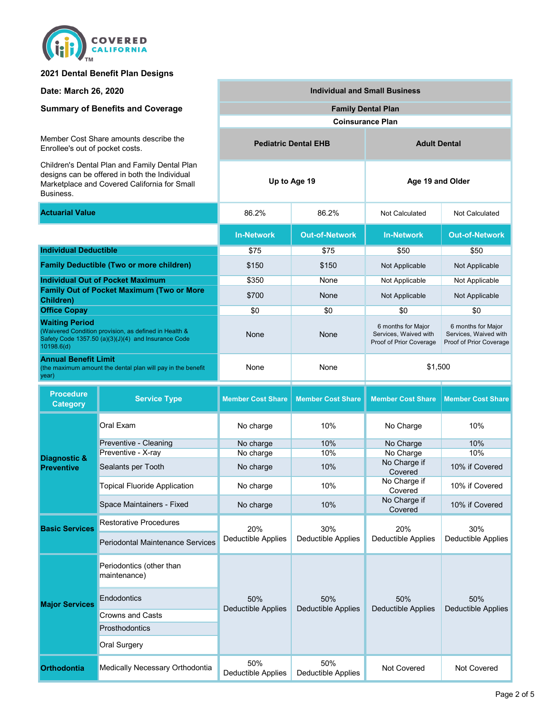

#### **2021 Dental Benefit Plan Designs**

**Date: March 26, 2020**

#### **Summary of Benefits and Coverage**

Member Cost Share amounts describe the Enrollee's out of pocket costs.

Children's Dental Plan and Family Dental Plan designs can be offered in both the Individual<br>Marketplace and Covered Colifornia for Small Marketplace and Covered California for Small Business.

Sealants per Tooth

Preventive - X-ray

Preventive - Cleaning

**Orthodontia** Medically Necessary Orthodontia

Oral Surgery

**Endodontics** 

maintenance)

**Basic Services**

**Major Services** 

**Diagnostic & Preventive**

**Prosthodontics** 

Crowns and Casts

Topical Fluoride Application

Space Maintainers - Fixed

Restorative Procedures

Periodontal Maintenance Services

Periodontics (other than

| Marketplace and Covered California for Small<br>Business.                                                                                           |                     |                          |                          |                                                                        |                                                                        |
|-----------------------------------------------------------------------------------------------------------------------------------------------------|---------------------|--------------------------|--------------------------|------------------------------------------------------------------------|------------------------------------------------------------------------|
| <b>Actuarial Value</b>                                                                                                                              |                     | 86.2%                    | 86.2%                    | Not Calculated                                                         | Not Calculated                                                         |
|                                                                                                                                                     |                     | <b>In-Network</b>        | <b>Out-of-Network</b>    | <b>In-Network</b>                                                      | <b>Out-of-Network</b>                                                  |
| <b>Individual Deductible</b>                                                                                                                        |                     | \$75                     | \$75                     | \$50                                                                   | \$50                                                                   |
| <b>Family Deductible (Two or more children)</b>                                                                                                     |                     | \$150                    | \$150                    | Not Applicable                                                         | Not Applicable                                                         |
| <b>Individual Out of Pocket Maximum</b>                                                                                                             |                     | \$350                    | None                     | Not Applicable                                                         | Not Applicable                                                         |
| <b>Family Out of Pocket Maximum (Two or More</b><br>Children)                                                                                       |                     | \$700                    | None                     | Not Applicable                                                         | Not Applicable                                                         |
| <b>Office Copay</b>                                                                                                                                 |                     | \$0                      | \$0                      | \$0                                                                    | \$0                                                                    |
| <b>Waiting Period</b><br>(Waivered Condition provision, as defined in Health &<br>Safety Code 1357.50 (a)(3)(J)(4) and Insurance Code<br>10198.6(d) |                     | None                     | None                     | 6 months for Major<br>Services, Waived with<br>Proof of Prior Coverage | 6 months for Major<br>Services, Waived with<br>Proof of Prior Coverage |
| <b>Annual Benefit Limit</b><br>(the maximum amount the dental plan will pay in the benefit<br>year)                                                 |                     | None                     | None                     | \$1,500                                                                |                                                                        |
| <b>Procedure</b><br>Category                                                                                                                        | <b>Service Type</b> | <b>Member Cost Share</b> | <b>Member Cost Share</b> | <b>Member Cost Share</b>                                               | <b>Member Cost Share</b>                                               |
|                                                                                                                                                     | Oral Exam           | No charge                | 10%                      | No Charge                                                              | 10%                                                                    |

**Pediatric Dental EHB**

50% Deductible Applies

50% Deductible Applies

20% Deductible Applies

No charge 10% No Charge 10% No Charge 10% No Charge 10% No Charge 10%

**Individual and Small Business**

**Coinsurance Plan**

**Up to Age 19 Age 19 and Older**

**Family Dental Plan**

No charge 10% No Charge No charge 10% No Charge if

No charge 10% No Charge if

No charge 10% No Charge 2001

30% Deductible Applies

50%

50% Deductible Applies

Deductible Applies Not Covered Not Covered

20% Deductible Applies

50% Deductible Applies 10% if Covered

10% if Covered

30% Deductible Applies

50% Deductible Applies

No Charge in 10% if Covered<br>
No Charge if 10% if Covered

**Adult Dental**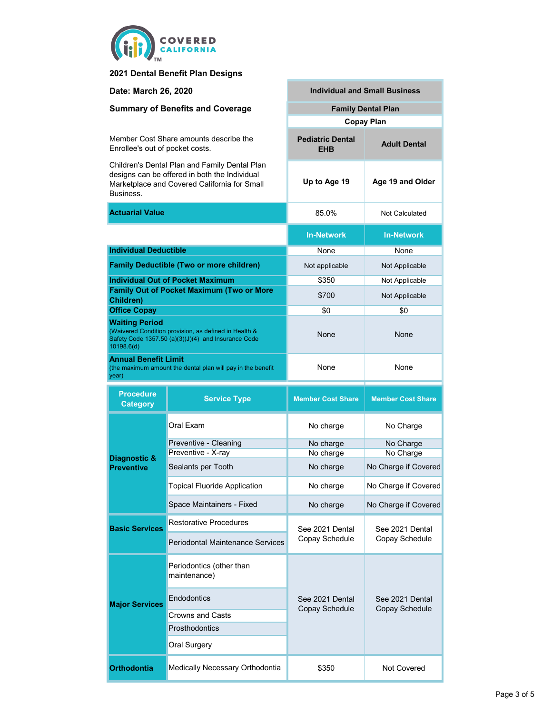

### **2021 Dental Benefit Plan Designs**

| Date: March 26, 2020                                                                                                                                        |                                                 | <b>Individual and Small Business</b>  |                                   |  |  |
|-------------------------------------------------------------------------------------------------------------------------------------------------------------|-------------------------------------------------|---------------------------------------|-----------------------------------|--|--|
| <b>Summary of Benefits and Coverage</b>                                                                                                                     |                                                 | <b>Family Dental Plan</b>             |                                   |  |  |
|                                                                                                                                                             |                                                 | <b>Copay Plan</b>                     |                                   |  |  |
| Member Cost Share amounts describe the<br>Enrollee's out of pocket costs.                                                                                   |                                                 | <b>Pediatric Dental</b><br><b>EHB</b> | <b>Adult Dental</b>               |  |  |
| Children's Dental Plan and Family Dental Plan<br>designs can be offered in both the Individual<br>Marketplace and Covered California for Small<br>Business. |                                                 | Up to Age 19                          | Age 19 and Older                  |  |  |
| <b>Actuarial Value</b>                                                                                                                                      |                                                 | 85.0%                                 | Not Calculated                    |  |  |
|                                                                                                                                                             |                                                 | <b>In-Network</b>                     | <b>In-Network</b>                 |  |  |
| <b>Individual Deductible</b>                                                                                                                                |                                                 | None                                  | None                              |  |  |
|                                                                                                                                                             | <b>Family Deductible (Two or more children)</b> | Not applicable                        | Not Applicable                    |  |  |
|                                                                                                                                                             | <b>Individual Out of Pocket Maximum</b>         | \$350                                 | Not Applicable                    |  |  |
| <b>Family Out of Pocket Maximum (Two or More</b><br><b>Children)</b>                                                                                        |                                                 | \$700                                 | Not Applicable                    |  |  |
| <b>Office Copay</b>                                                                                                                                         |                                                 | \$0                                   | \$0                               |  |  |
| <b>Waiting Period</b><br>(Waivered Condition provision, as defined in Health &<br>Safety Code 1357.50 (a)(3)(J)(4) and Insurance Code<br>10198.6(d)         |                                                 | None                                  | None                              |  |  |
| <b>Annual Benefit Limit</b><br>(the maximum amount the dental plan will pay in the benefit<br>year)                                                         |                                                 | None                                  | None                              |  |  |
| <b>Procedure</b><br><b>Category</b>                                                                                                                         | <b>Service Type</b>                             | <b>Member Cost Share</b>              | <b>Member Cost Share</b>          |  |  |
|                                                                                                                                                             | Oral Exam                                       | No charge                             | No Charge                         |  |  |
|                                                                                                                                                             | Preventive - Cleaning                           | No charge                             | No Charge                         |  |  |
| Diagnostic &                                                                                                                                                | Preventive - X-ray                              | No charge                             | No Charge                         |  |  |
| <b>Preventive</b>                                                                                                                                           | Sealants per Tooth                              | No charge                             | No Charge if Covered              |  |  |
|                                                                                                                                                             | <b>Topical Fluoride Application</b>             | No charge                             | No Charge if Covered              |  |  |
|                                                                                                                                                             | Space Maintainers - Fixed                       | No charge                             | No Charge if Covered              |  |  |
| <b>Basic Services</b>                                                                                                                                       | <b>Restorative Procedures</b>                   | See 2021 Dental                       | See 2021 Dental<br>Copay Schedule |  |  |
|                                                                                                                                                             | <b>Periodontal Maintenance Services</b>         | Copay Schedule                        |                                   |  |  |
|                                                                                                                                                             | Periodontics (other than<br>maintenance)        |                                       |                                   |  |  |
| <b>Major Services</b>                                                                                                                                       | Endodontics                                     | See 2021 Dental                       | See 2021 Dental                   |  |  |
|                                                                                                                                                             | Crowns and Casts                                | Copay Schedule                        | Copay Schedule                    |  |  |
|                                                                                                                                                             | <b>Prosthodontics</b>                           |                                       |                                   |  |  |
|                                                                                                                                                             | Oral Surgery                                    |                                       |                                   |  |  |

**Orthodontia** Medically Necessary Orthodontia

\$350 Not Covered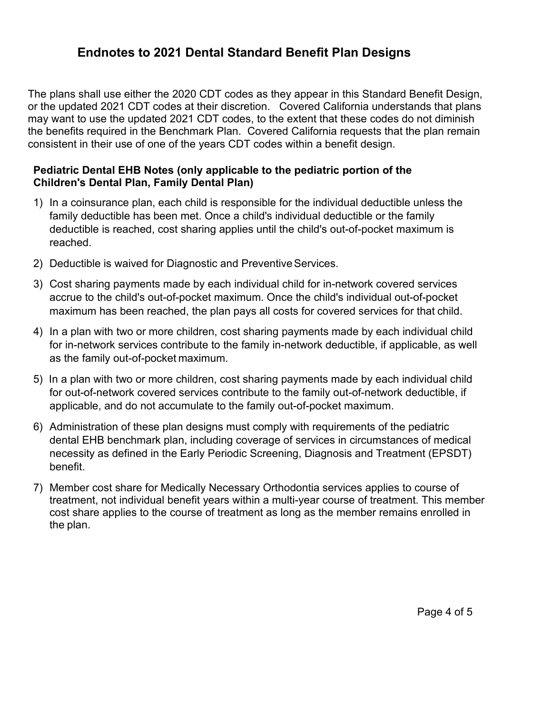# **Endnotes to 2021 Dental Standard Benefit Plan Designs**

The plans shall use either the 2020 CDT codes as they appear in this Standard Benefit Design, or the updated 2021 CDT codes at their discretion. Covered California understands that plans may want to use the updated 2021 CDT codes, to the extent that these codes do not diminish the benefits required in the Benchmark Plan. Covered California requests that the plan remain consistent in their use of one of the years CDT codes within a benefit design.

### **Pediatric Dental EHB Notes (only applicable to the pediatric portion of the Children's Dental Plan, Family Dental Plan)**

- 1) In a coinsurance plan, each child is responsible for the individual deductible unless the family deductible has been met. Once a child's individual deductible or the family deductible is reached, cost sharing applies until the child's out-of-pocket maximum is reached.
- 2) Deductible is waived for Diagnostic and Preventive Services.
- 3) Cost sharing payments made by each individual child for in-network covered services accrue to the child's out-of-pocket maximum. Once the child's individual out-of-pocket maximum has been reached, the plan pays all costs for covered services for that child.
- 4) In a plan with two or more children, cost sharing payments made by each individual child for in-network services contribute to the family in-network deductible, if applicable, as well as the family out-of-pocket maximum.
- 5) In a plan with two or more children, cost sharing payments made by each individual child for out-of-network covered services contribute to the family out-of-network deductible, if applicable, and do not accumulate to the family out-of-pocket maximum.
- 6) Administration of these plan designs must comply with requirements of the pediatric dental EHB benchmark plan, including coverage of services in circumstances of medical necessity as defined in the Early Periodic Screening, Diagnosis and Treatment (EPSDT) benefit.
- 7) Member cost share for Medically Necessary Orthodontia services applies to course of treatment, not individual benefit years within a multi-year course of treatment. This member cost share applies to the course of treatment as long as the member remains enrolled in the plan.